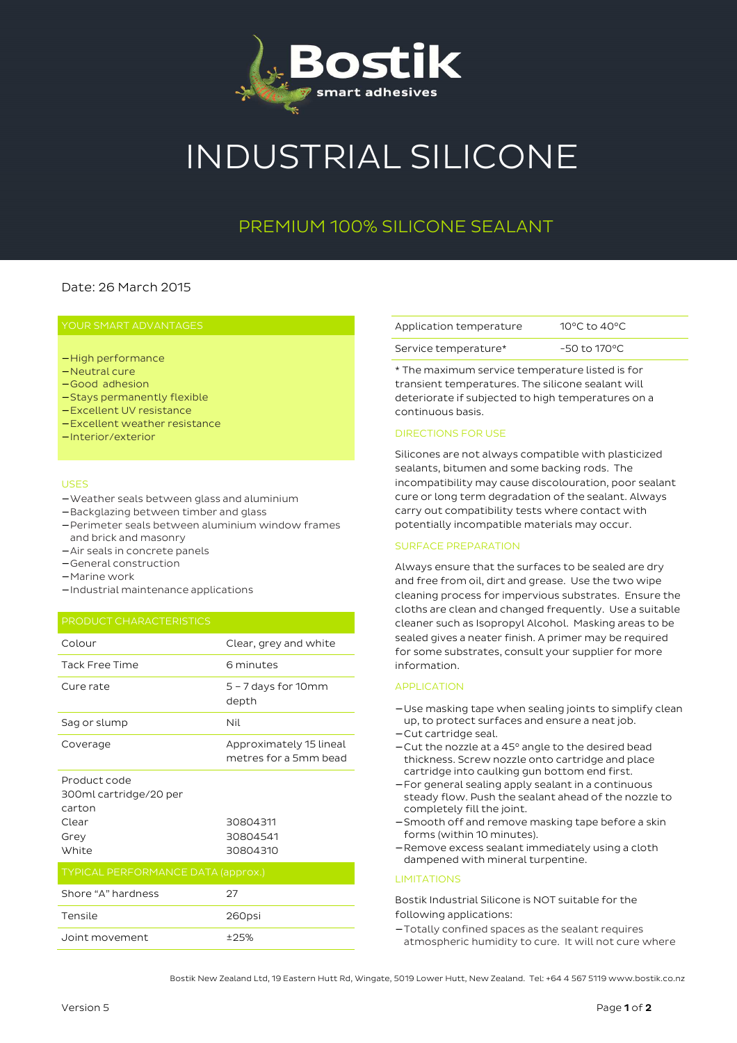

# INDUSTRIAL SILICONE

## PREMIUM 100% SILICONE SEALANT

## Date: 26 March 2015

- − High performance
- − Neutral cure
- − Good adhesion
- − Stays permanently flexible
- − Excellent UV resistance
- − Excellent weather resistance
- − Interior/exterior

#### USES

- − Weather seals between glass and aluminium
- − Backglazing between timber and glass
- − Perimeter seals between aluminium window frames and brick and masonry
- − Air seals in concrete panels
- − General construction
- − Marine work
- − Industrial maintenance applications

| Colour                                                    | Clear, grey and white                            |
|-----------------------------------------------------------|--------------------------------------------------|
| Tack Free Time                                            | 6 minutes                                        |
| Cure rate                                                 | $5 - 7$ days for 10 mm<br>depth                  |
| Sag or slump                                              | Nil                                              |
| Coverage                                                  | Approximately 15 lineal<br>metres for a 5mm bead |
| Product code<br>300ml cartridge/20 per<br>carton<br>Clear | 30804311                                         |
| Grey                                                      | 30804541                                         |
| White                                                     | 30804310                                         |
| <b>TYPICAL PERFORMANCE DATA (approx.)</b>                 |                                                  |
| Shore "A" hardness                                        | 27                                               |
| Tensile                                                   | 260psi                                           |
| Joint movement                                            | ±25%                                             |

| Application temperature | 10 °C to 40 °C |
|-------------------------|----------------|
| Service temperature*    | -50 to 170°C   |

\* The maximum service temperature listed is for transient temperatures. The silicone sealant will deteriorate if subjected to high temperatures on a continuous basis.

#### DIRECTIONS FOR USE

Silicones are not always compatible with plasticized sealants, bitumen and some backing rods. The incompatibility may cause discolouration, poor sealant cure or long term degradation of the sealant. Always carry out compatibility tests where contact with potentially incompatible materials may occur.

#### SURFACE PREPARATION

Always ensure that the surfaces to be sealed are dry and free from oil, dirt and grease. Use the two wipe cleaning process for impervious substrates. Ensure the cloths are clean and changed frequently. Use a suitable cleaner such as Isopropyl Alcohol. Masking areas to be sealed gives a neater finish. A primer may be required for some substrates, consult your supplier for more information.

#### APPLICATION

- − Use masking tape when sealing joints to simplify clean up, to protect surfaces and ensure a neat job.
- − Cut cartridge seal.
- − Cut the nozzle at a 45° angle to the desired bead thickness. Screw nozzle onto cartridge and place cartridge into caulking gun bottom end first.
- − For general sealing apply sealant in a continuous steady flow. Push the sealant ahead of the nozzle to completely fill the joint.
- − Smooth off and remove masking tape before a skin forms (within 10 minutes).
- − Remove excess sealant immediately using a cloth dampened with mineral turpentine.

#### **LIMITATIONS**

Bostik Industrial Silicone is NOT suitable for the following applications:

− Totally confined spaces as the sealant requires atmospheric humidity to cure. It will not cure where

Bostik New Zealand Ltd, 19 Eastern Hutt Rd, Wingate, 5019 Lower Hutt, New Zealand. Tel: +64 4 567 5119 www.bostik.co.nz